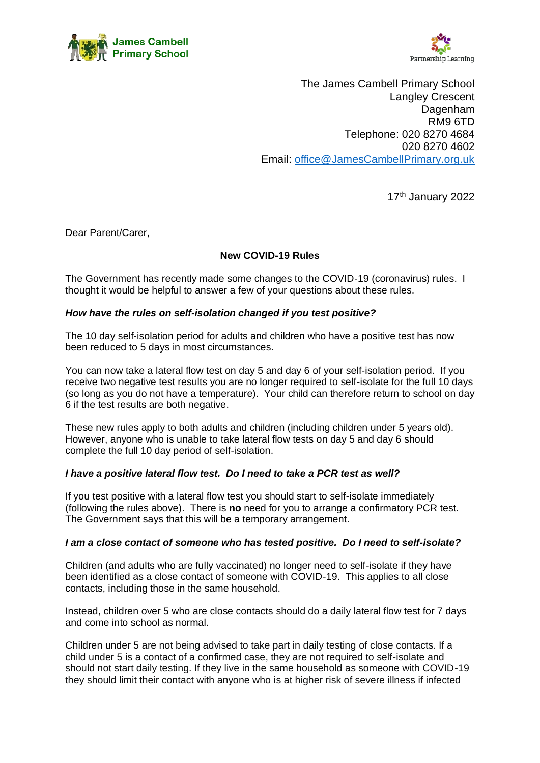



The James Cambell Primary School Langley Crescent Dagenham RM9 6TD Telephone: 020 8270 4684 020 8270 4602 Email: [office@JamesCambellPrimary.org.uk](mailto:office@JamesCambellPrimary.org.uk)

17th January 2022

Dear Parent/Carer,

# **New COVID-19 Rules**

The Government has recently made some changes to the COVID-19 (coronavirus) rules. I thought it would be helpful to answer a few of your questions about these rules.

## *How have the rules on self-isolation changed if you test positive?*

The 10 day self-isolation period for adults and children who have a positive test has now been reduced to 5 days in most circumstances.

You can now take a lateral flow test on day 5 and day 6 of your self-isolation period. If you receive two negative test results you are no longer required to self-isolate for the full 10 days (so long as you do not have a temperature). Your child can therefore return to school on day 6 if the test results are both negative.

These new rules apply to both adults and children (including children under 5 years old). However, anyone who is unable to take lateral flow tests on day 5 and day 6 should complete the full 10 day period of self-isolation.

#### *I have a positive lateral flow test. Do I need to take a PCR test as well?*

If you test positive with a lateral flow test you should start to self-isolate immediately (following the rules above). There is **no** need for you to arrange a confirmatory PCR test. The Government says that this will be a temporary arrangement.

#### *I am a close contact of someone who has tested positive. Do I need to self-isolate?*

Children (and adults who are fully vaccinated) no longer need to self-isolate if they have been identified as a close contact of someone with COVID-19. This applies to all close contacts, including those in the same household.

Instead, children over 5 who are close contacts should do a daily lateral flow test for 7 days and come into school as normal.

Children under 5 are not being advised to take part in daily testing of close contacts. If a child under 5 is a contact of a confirmed case, they are not required to self-isolate and should not start daily testing. If they live in the same household as someone with COVID-19 they should limit their contact with anyone who is at higher risk of severe illness if infected